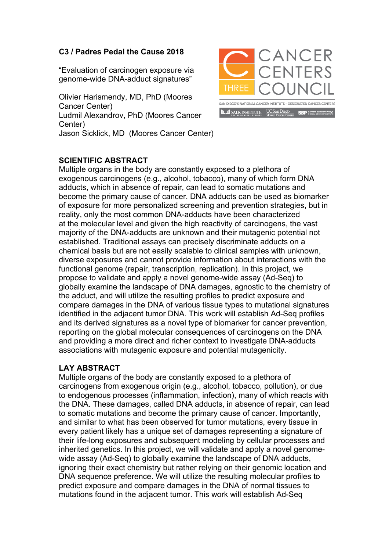## **C3 / Padres Pedal the Cause 2018**

"Evaluation of carcinogen exposure via genome-wide DNA-adduct signatures"

Olivier Harismendy, MD, PhD (Moores Cancer Center) Ludmil Alexandrov, PhD (Moores Cancer Center) Jason Sicklick, MD (Moores Cancer Center)



## **SCIENTIFIC ABSTRACT**

Multiple organs in the body are constantly exposed to a plethora of exogenous carcinogens (e.g., alcohol, tobacco), many of which form DNA adducts, which in absence of repair, can lead to somatic mutations and become the primary cause of cancer. DNA adducts can be used as biomarker of exposure for more personalized screening and prevention strategies, but in reality, only the most common DNA-adducts have been characterized at the molecular level and given the high reactivity of carcinogens, the vast majority of the DNA-adducts are unknown and their mutagenic potential not established. Traditional assays can precisely discriminate adducts on a chemical basis but are not easily scalable to clinical samples with unknown, diverse exposures and cannot provide information about interactions with the functional genome (repair, transcription, replication). In this project, we propose to validate and apply a novel genome-wide assay (Ad-Seq) to globally examine the landscape of DNA damages, agnostic to the chemistry of the adduct, and will utilize the resulting profiles to predict exposure and compare damages in the DNA of various tissue types to mutational signatures identified in the adjacent tumor DNA. This work will establish Ad-Seq profiles and its derived signatures as a novel type of biomarker for cancer prevention, reporting on the global molecular consequences of carcinogens on the DNA and providing a more direct and richer context to investigate DNA-adducts associations with mutagenic exposure and potential mutagenicity.

## **LAY ABSTRACT**

Multiple organs of the body are constantly exposed to a plethora of carcinogens from exogenous origin (e.g., alcohol, tobacco, pollution), or due to endogenous processes (inflammation, infection), many of which reacts with the DNA. These damages, called DNA adducts, in absence of repair, can lead to somatic mutations and become the primary cause of cancer. Importantly, and similar to what has been observed for tumor mutations, every tissue in every patient likely has a unique set of damages representing a signature of their life-long exposures and subsequent modeling by cellular processes and inherited genetics. In this project, we will validate and apply a novel genomewide assay (Ad-Seq) to globally examine the landscape of DNA adducts, ignoring their exact chemistry but rather relying on their genomic location and DNA sequence preference. We will utilize the resulting molecular profiles to predict exposure and compare damages in the DNA of normal tissues to mutations found in the adjacent tumor. This work will establish Ad-Seq